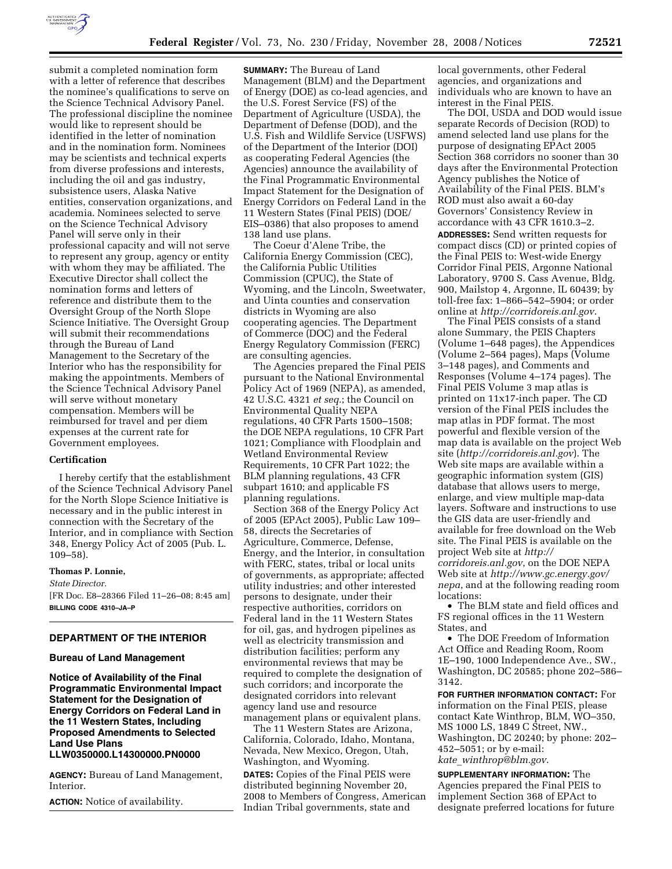

submit a completed nomination form with a letter of reference that describes the nominee's qualifications to serve on the Science Technical Advisory Panel. The professional discipline the nominee would like to represent should be identified in the letter of nomination and in the nomination form. Nominees may be scientists and technical experts from diverse professions and interests, including the oil and gas industry, subsistence users, Alaska Native entities, conservation organizations, and academia. Nominees selected to serve on the Science Technical Advisory Panel will serve only in their professional capacity and will not serve to represent any group, agency or entity with whom they may be affiliated. The Executive Director shall collect the nomination forms and letters of reference and distribute them to the Oversight Group of the North Slope Science Initiative. The Oversight Group will submit their recommendations through the Bureau of Land Management to the Secretary of the Interior who has the responsibility for making the appointments. Members of the Science Technical Advisory Panel will serve without monetary compensation. Members will be reimbursed for travel and per diem expenses at the current rate for Government employees.

### **Certification**

I hereby certify that the establishment of the Science Technical Advisory Panel for the North Slope Science Initiative is necessary and in the public interest in connection with the Secretary of the Interior, and in compliance with Section 348, Energy Policy Act of 2005 (Pub. L. 109–58).

### **Thomas P. Lonnie,**

*State Director.*  [FR Doc. E8–28366 Filed 11–26–08; 8:45 am] **BILLING CODE 4310–JA–P** 

### **DEPARTMENT OF THE INTERIOR**

### **Bureau of Land Management**

**Notice of Availability of the Final Programmatic Environmental Impact Statement for the Designation of Energy Corridors on Federal Land in the 11 Western States, Including Proposed Amendments to Selected Land Use Plans LLW0350000.L14300000.PN0000** 

**AGENCY:** Bureau of Land Management, Interior.

**ACTION:** Notice of availability.

**SUMMARY:** The Bureau of Land Management (BLM) and the Department of Energy (DOE) as co-lead agencies, and the U.S. Forest Service (FS) of the Department of Agriculture (USDA), the Department of Defense (DOD), and the U.S. Fish and Wildlife Service (USFWS) of the Department of the Interior (DOI) as cooperating Federal Agencies (the Agencies) announce the availability of the Final Programmatic Environmental Impact Statement for the Designation of Energy Corridors on Federal Land in the 11 Western States (Final PEIS) (DOE/ EIS–0386) that also proposes to amend 138 land use plans.

The Coeur d'Alene Tribe, the California Energy Commission (CEC), the California Public Utilities Commission (CPUC), the State of Wyoming, and the Lincoln, Sweetwater, and Uinta counties and conservation districts in Wyoming are also cooperating agencies. The Department of Commerce (DOC) and the Federal Energy Regulatory Commission (FERC) are consulting agencies.

The Agencies prepared the Final PEIS pursuant to the National Environmental Policy Act of 1969 (NEPA), as amended, 42 U.S.C. 4321 *et seq.*; the Council on Environmental Quality NEPA regulations, 40 CFR Parts 1500–1508; the DOE NEPA regulations, 10 CFR Part 1021; Compliance with Floodplain and Wetland Environmental Review Requirements, 10 CFR Part 1022; the BLM planning regulations, 43 CFR subpart 1610; and applicable FS planning regulations.

Section 368 of the Energy Policy Act of 2005 (EPAct 2005), Public Law 109– 58, directs the Secretaries of Agriculture, Commerce, Defense, Energy, and the Interior, in consultation with FERC, states, tribal or local units of governments, as appropriate; affected utility industries; and other interested persons to designate, under their respective authorities, corridors on Federal land in the 11 Western States for oil, gas, and hydrogen pipelines as well as electricity transmission and distribution facilities; perform any environmental reviews that may be required to complete the designation of such corridors; and incorporate the designated corridors into relevant agency land use and resource management plans or equivalent plans.

The 11 Western States are Arizona, California, Colorado, Idaho, Montana, Nevada, New Mexico, Oregon, Utah, Washington, and Wyoming.

**DATES:** Copies of the Final PEIS were distributed beginning November 20, 2008 to Members of Congress, American Indian Tribal governments, state and

local governments, other Federal agencies, and organizations and individuals who are known to have an interest in the Final PEIS.

The DOI, USDA and DOD would issue separate Records of Decision (ROD) to amend selected land use plans for the purpose of designating EPAct 2005 Section 368 corridors no sooner than 30 days after the Environmental Protection Agency publishes the Notice of Availability of the Final PEIS. BLM's ROD must also await a 60-day Governors' Consistency Review in accordance with 43 CFR 1610.3–2. **ADDRESSES:** Send written requests for compact discs (CD) or printed copies of the Final PEIS to: West-wide Energy Corridor Final PEIS, Argonne National Laboratory, 9700 S. Cass Avenue, Bldg. 900, Mailstop 4, Argonne, IL 60439; by toll-free fax: 1–866–542–5904; or order online at *http://corridoreis.anl.gov*.

The Final PEIS consists of a stand alone Summary, the PEIS Chapters (Volume 1–648 pages), the Appendices (Volume 2–564 pages), Maps (Volume 3–148 pages), and Comments and Responses (Volume 4–174 pages). The Final PEIS Volume 3 map atlas is printed on 11x17-inch paper. The CD version of the Final PEIS includes the map atlas in PDF format. The most powerful and flexible version of the map data is available on the project Web site (*http://corridoreis.anl.gov*). The Web site maps are available within a geographic information system (GIS) database that allows users to merge, enlarge, and view multiple map-data layers. Software and instructions to use the GIS data are user-friendly and available for free download on the Web site. The Final PEIS is available on the project Web site at *http:// corridoreis.anl.gov*, on the DOE NEPA Web site at *http://www.gc.energy.gov/ nepa*, and at the following reading room locations:

• The BLM state and field offices and FS regional offices in the 11 Western States, and

• The DOE Freedom of Information Act Office and Reading Room, Room 1E–190, 1000 Independence Ave., SW., Washington, DC 20585; phone 202–586– 3142.

**FOR FURTHER INFORMATION CONTACT:** For information on the Final PEIS, please contact Kate Winthrop, BLM, WO–350, MS 1000 LS, 1849 C Street, NW., Washington, DC 20240; by phone: 202– 452–5051; or by e-mail: *kate*\_*winthrop@blm.gov*.

**SUPPLEMENTARY INFORMATION:** The Agencies prepared the Final PEIS to implement Section 368 of EPAct to designate preferred locations for future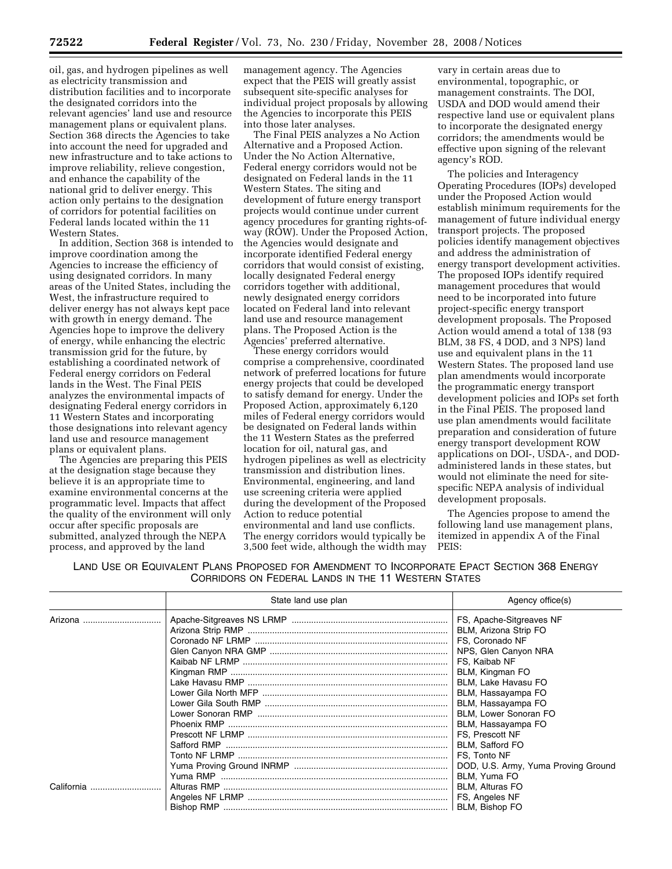oil, gas, and hydrogen pipelines as well as electricity transmission and distribution facilities and to incorporate the designated corridors into the relevant agencies' land use and resource management plans or equivalent plans. Section 368 directs the Agencies to take into account the need for upgraded and new infrastructure and to take actions to improve reliability, relieve congestion, and enhance the capability of the national grid to deliver energy. This action only pertains to the designation of corridors for potential facilities on Federal lands located within the 11 Western States.

In addition, Section 368 is intended to improve coordination among the Agencies to increase the efficiency of using designated corridors. In many areas of the United States, including the West, the infrastructure required to deliver energy has not always kept pace with growth in energy demand. The Agencies hope to improve the delivery of energy, while enhancing the electric transmission grid for the future, by establishing a coordinated network of Federal energy corridors on Federal lands in the West. The Final PEIS analyzes the environmental impacts of designating Federal energy corridors in 11 Western States and incorporating those designations into relevant agency land use and resource management plans or equivalent plans.

The Agencies are preparing this PEIS at the designation stage because they believe it is an appropriate time to examine environmental concerns at the programmatic level. Impacts that affect the quality of the environment will only occur after specific proposals are submitted, analyzed through the NEPA process, and approved by the land

management agency. The Agencies expect that the PEIS will greatly assist subsequent site-specific analyses for individual project proposals by allowing the Agencies to incorporate this PEIS into those later analyses.

The Final PEIS analyzes a No Action Alternative and a Proposed Action. Under the No Action Alternative, Federal energy corridors would not be designated on Federal lands in the 11 Western States. The siting and development of future energy transport projects would continue under current agency procedures for granting rights-ofway (ROW). Under the Proposed Action, the Agencies would designate and incorporate identified Federal energy corridors that would consist of existing, locally designated Federal energy corridors together with additional, newly designated energy corridors located on Federal land into relevant land use and resource management plans. The Proposed Action is the Agencies' preferred alternative.

These energy corridors would comprise a comprehensive, coordinated network of preferred locations for future energy projects that could be developed to satisfy demand for energy. Under the Proposed Action, approximately 6,120 miles of Federal energy corridors would be designated on Federal lands within the 11 Western States as the preferred location for oil, natural gas, and hydrogen pipelines as well as electricity transmission and distribution lines. Environmental, engineering, and land use screening criteria were applied during the development of the Proposed Action to reduce potential environmental and land use conflicts. The energy corridors would typically be 3,500 feet wide, although the width may

vary in certain areas due to environmental, topographic, or management constraints. The DOI, USDA and DOD would amend their respective land use or equivalent plans to incorporate the designated energy corridors; the amendments would be effective upon signing of the relevant agency's ROD.

The policies and Interagency Operating Procedures (IOPs) developed under the Proposed Action would establish minimum requirements for the management of future individual energy transport projects. The proposed policies identify management objectives and address the administration of energy transport development activities. The proposed IOPs identify required management procedures that would need to be incorporated into future project-specific energy transport development proposals. The Proposed Action would amend a total of 138 (93 BLM, 38 FS, 4 DOD, and 3 NPS) land use and equivalent plans in the 11 Western States. The proposed land use plan amendments would incorporate the programmatic energy transport development policies and IOPs set forth in the Final PEIS. The proposed land use plan amendments would facilitate preparation and consideration of future energy transport development ROW applications on DOI-, USDA-, and DODadministered lands in these states, but would not eliminate the need for sitespecific NEPA analysis of individual development proposals.

The Agencies propose to amend the following land use management plans, itemized in appendix A of the Final PEIS:

LAND USE OR EQUIVALENT PLANS PROPOSED FOR AMENDMENT TO INCORPORATE EPACT SECTION 368 ENERGY CORRIDORS ON FEDERAL LANDS IN THE 11 WESTERN STATES

|            | State land use plan | Agency office(s)                                  |
|------------|---------------------|---------------------------------------------------|
| Arizona    |                     | FS, Apache-Sitgreaves NF<br>BLM, Arizona Strip FO |
|            |                     | FS, Coronado NF                                   |
|            |                     | NPS, Glen Canyon NRA                              |
|            |                     | FS. Kaibab NF                                     |
|            |                     | BLM, Kingman FO                                   |
|            |                     | BLM, Lake Havasu FO                               |
|            |                     | BLM, Hassayampa FO                                |
|            |                     | BLM, Hassayampa FO                                |
|            |                     | BLM, Lower Sonoran FO                             |
|            |                     | BLM, Hassayampa FO                                |
|            |                     | FS. Prescott NF                                   |
|            |                     | <b>BLM.</b> Safford FO                            |
|            |                     | FS, Tonto NF                                      |
|            |                     | DOD, U.S. Army, Yuma Proving Ground               |
|            |                     | BLM, Yuma FO                                      |
| California |                     | <b>BLM, Alturas FO</b>                            |
|            |                     |                                                   |
|            |                     |                                                   |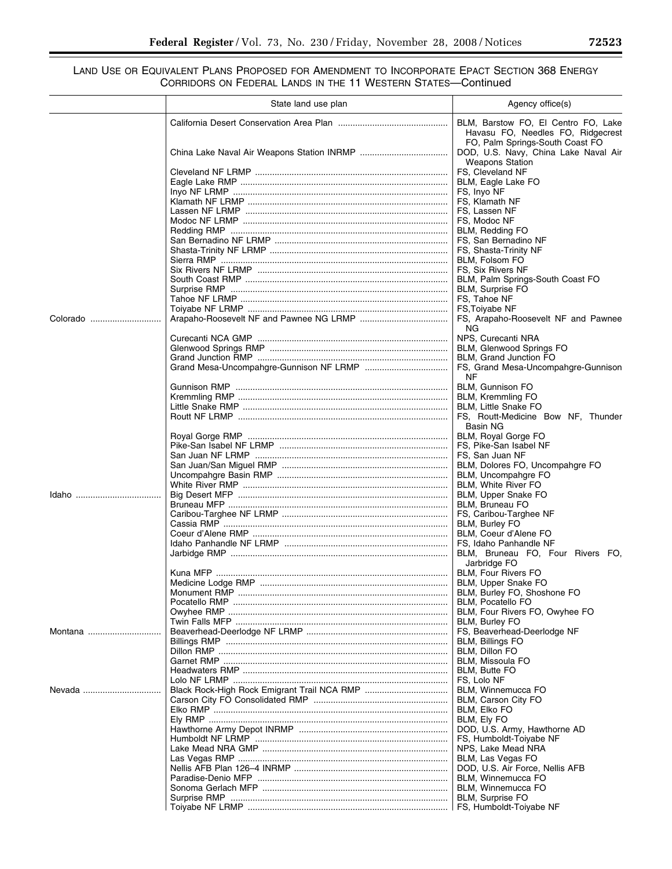# LAND USE OR EQUIVALENT PLANS PROPOSED FOR AMENDMENT TO INCORPORATE EPACT SECTION 368 ENERGY CORRIDORS ON FEDERAL LANDS IN THE 11 WESTERN STATES—Continued

|          | State land use plan | Agency office(s)                                                                                  |
|----------|---------------------|---------------------------------------------------------------------------------------------------|
|          |                     | BLM, Barstow FO, El Centro FO, Lake<br>Havasu FO, Needles FO, Ridgecrest                          |
|          |                     | FO, Palm Springs-South Coast FO<br>DOD, U.S. Navy, China Lake Naval Air<br><b>Weapons Station</b> |
|          |                     | FS, Cleveland NF<br>BLM, Eagle Lake FO                                                            |
|          |                     | FS, Inyo NF                                                                                       |
|          |                     | FS, Klamath NF                                                                                    |
|          |                     | FS, Lassen NF                                                                                     |
|          |                     | FS. Modoc NF                                                                                      |
|          |                     | BLM, Redding FO                                                                                   |
|          |                     | FS, San Bernadino NF                                                                              |
|          |                     | FS, Shasta-Trinity NF<br>BLM, Folsom FO                                                           |
|          |                     | FS, Six Rivers NF                                                                                 |
|          |                     | BLM, Palm Springs-South Coast FO                                                                  |
|          |                     | BLM, Surprise FO                                                                                  |
|          |                     | FS, Tahoe NF                                                                                      |
|          |                     | FS, Toiyabe NF                                                                                    |
| Colorado |                     | FS, Arapaho-Roosevelt NF and Pawnee<br>NG.                                                        |
|          |                     | NPS, Curecanti NRA                                                                                |
|          |                     | <b>BLM, Glenwood Springs FO</b><br>BLM, Grand Junction FO                                         |
|          |                     | FS, Grand Mesa-Uncompahgre-Gunnison                                                               |
|          |                     | NF                                                                                                |
|          |                     | BLM, Gunnison FO                                                                                  |
|          |                     | BLM, Kremmling FO<br><b>BLM, Little Snake FO</b>                                                  |
|          |                     | FS, Routt-Medicine Bow NF, Thunder                                                                |
|          |                     | Basin NG                                                                                          |
|          |                     | BLM, Royal Gorge FO                                                                               |
|          |                     | FS, Pike-San Isabel NF                                                                            |
|          |                     | FS, San Juan NF                                                                                   |
|          |                     | BLM, Dolores FO, Uncompahgre FO<br>BLM, Uncompahgre FO                                            |
|          |                     | BLM, White River FO                                                                               |
|          |                     | BLM, Upper Snake FO                                                                               |
|          |                     | BLM, Bruneau FO                                                                                   |
|          |                     | FS, Caribou-Targhee NF                                                                            |
|          |                     | BLM, Burley FO                                                                                    |
|          |                     | BLM. Coeur d'Alene FO<br>FS, Idaho Panhandle NF                                                   |
|          |                     | BLM, Bruneau FO, Four Rivers FO,                                                                  |
|          |                     | Jarbridge FO                                                                                      |
|          |                     | BLM, Four Rivers FO                                                                               |
|          |                     | BLM, Upper Snake FO                                                                               |
|          |                     | BLM, Burley FO, Shoshone FO<br>BLM, Pocatello FO                                                  |
|          |                     | BLM, Four Rivers FO, Owyhee FO                                                                    |
|          |                     | BLM, Burley FO                                                                                    |
| Montana  |                     | FS, Beaverhead-Deerlodge NF                                                                       |
|          |                     | BLM, Billings FO                                                                                  |
|          |                     | BLM, Dillon FO                                                                                    |
|          |                     | BLM, Missoula FO                                                                                  |
|          |                     | <b>BLM, Butte FO</b><br>FS, Lolo NF                                                               |
| Nevada   |                     | BLM, Winnemucca FO                                                                                |
|          |                     | BLM, Carson City FO                                                                               |
|          |                     | <b>BLM. Elko FO</b>                                                                               |
|          |                     | BLM, Ely FO                                                                                       |
|          |                     | DOD, U.S. Army, Hawthorne AD                                                                      |
|          |                     | FS, Humboldt-Toiyabe NF                                                                           |
|          |                     | NPS, Lake Mead NRA<br>BLM, Las Vegas FO                                                           |
|          |                     | DOD, U.S. Air Force, Nellis AFB                                                                   |
|          |                     | BLM, Winnemucca FO                                                                                |
|          |                     | BLM, Winnemucca FO                                                                                |
|          |                     | BLM, Surprise FO                                                                                  |
|          |                     |                                                                                                   |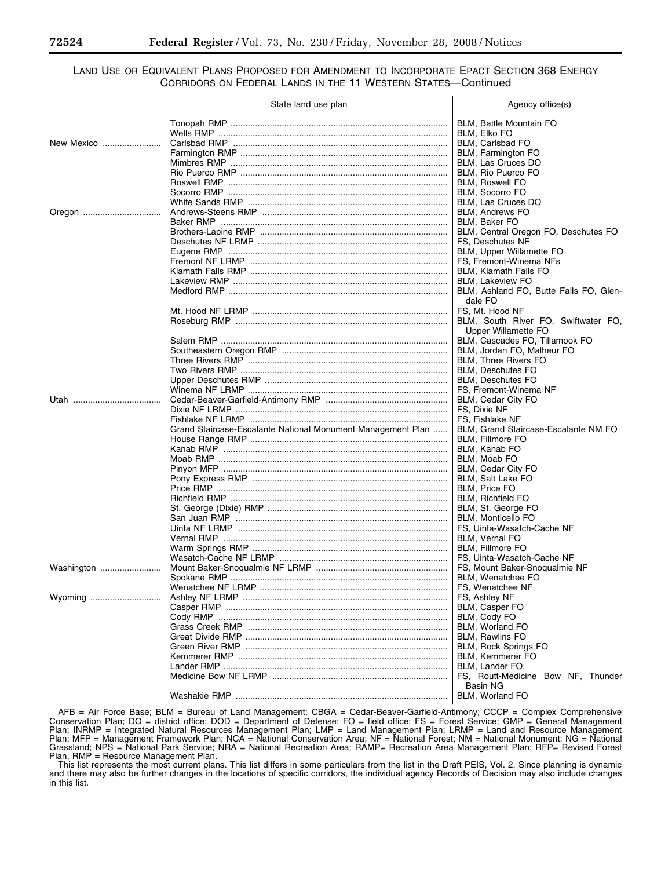# LAND USE OR EQUIVALENT PLANS PROPOSED FOR AMENDMENT TO INCORPORATE EPACT SECTION 368 ENERGY CORRIDORS ON FEDERAL LANDS IN THE 11 WESTERN STATES—Continued

|            | State land use plan                                         | Agency office(s)                       |
|------------|-------------------------------------------------------------|----------------------------------------|
|            |                                                             | BLM, Battle Mountain FO                |
|            |                                                             | <b>BLM. Elko FO</b>                    |
| New Mexico |                                                             | BLM, Carlsbad FO                       |
|            |                                                             | BLM, Farmington FO                     |
|            |                                                             | BLM, Las Cruces DO                     |
|            |                                                             | BLM, Rio Puerco FO                     |
|            |                                                             | <b>BLM, Roswell FO</b>                 |
|            |                                                             | BLM, Socorro FO                        |
|            |                                                             | BLM, Las Cruces DO                     |
| Oregon     |                                                             | <b>BLM, Andrews FO</b>                 |
|            |                                                             | <b>BLM. Baker FO</b>                   |
|            |                                                             | BLM, Central Oregon FO, Deschutes FO   |
|            |                                                             | FS, Deschutes NF                       |
|            |                                                             | BLM, Upper Willamette FO               |
|            |                                                             | FS, Fremont-Winema NFs                 |
|            |                                                             | <b>BLM, Klamath Falls FO</b>           |
|            |                                                             | <b>BLM, Lakeview FO</b>                |
|            |                                                             | BLM, Ashland FO, Butte Falls FO, Glen- |
|            |                                                             | dale FO                                |
|            |                                                             | FS. Mt. Hood NF                        |
|            |                                                             | BLM, South River FO, Swiftwater FO,    |
|            |                                                             | Upper Willamette FO                    |
|            |                                                             | BLM, Cascades FO, Tillamook FO         |
|            |                                                             | BLM, Jordan FO, Malheur FO             |
|            |                                                             | <b>BLM.</b> Three Rivers FO            |
|            |                                                             | <b>BLM.</b> Deschutes FO               |
|            |                                                             | <b>BLM.</b> Deschutes FO               |
|            |                                                             | FS, Fremont-Winema NF                  |
|            |                                                             | BLM, Cedar City FO                     |
|            |                                                             | FS, Dixie NF                           |
|            |                                                             | FS. Fishlake NF                        |
|            | Grand Staircase-Escalante National Monument Management Plan | BLM, Grand Staircase-Escalante NM FO   |
|            |                                                             | BLM, Fillmore FO                       |
|            |                                                             | BLM, Kanab FO                          |
|            |                                                             | BLM, Moab FO                           |
|            |                                                             | BLM, Cedar City FO                     |
|            |                                                             | BLM, Salt Lake FO                      |
|            |                                                             | BLM, Price FO                          |
|            |                                                             | <b>BLM, Richfield FO</b>               |
|            |                                                             | BLM, St. George FO                     |
|            |                                                             | <b>BLM.</b> Monticello FO              |
|            |                                                             | FS, Uinta-Wasatch-Cache NF             |
|            |                                                             | BLM, Vernal FO                         |
|            |                                                             | BLM, Fillmore FO                       |
|            |                                                             | FS, Uinta-Wasatch-Cache NF             |
| Washington |                                                             | FS, Mount Baker-Snoqualmie NF          |
|            |                                                             | BLM, Wenatchee FO                      |
|            |                                                             | FS, Wenatchee NF                       |
|            |                                                             | FS, Ashley NF                          |
|            |                                                             | BLM, Casper FO                         |
|            |                                                             | BLM, Cody FO                           |
|            |                                                             | BLM, Worland FO                        |
|            |                                                             | BLM, Rawlins FO                        |
|            |                                                             | <b>BLM, Rock Springs FO</b>            |
|            |                                                             | BLM, Kemmerer FO                       |
|            |                                                             | BLM. Lander FO.                        |
|            |                                                             | FS, Routt-Medicine Bow NF, Thunder     |
|            |                                                             | Basin NG                               |
|            |                                                             | BLM, Worland FO                        |

AFB = Air Force Base; BLM = Bureau of Land Management; CBGA = Cedar-Beaver-Garfield-Antimony; CCCP = Complex Comprehensive Conservation Plan; DO = district office; DOD = Department of Defense; FO = field office; FS = Forest Service; GMP = General Management Plan; INRMP = Integrated Natural Resources Management Plan; LMP = Land Management Plan; LRMP = Land and Resource Management Plan; MFP = Management Framework Plan; NCA = National Conservation Area; NF = National Forest; NM = National Monument; NG = National Grassland; NPS = National Park Service; NRA = National Recreation Area; RAMP= Recreation Area Management Plan; RFP= Revised Forest Plan, RMP = Resource Management Plan.

This list represents the most current plans. This list differs in some particulars from the list in the Draft PEIS, Vol. 2. Since planning is dynamic and there may also be further changes in the locations of specific corridors, the individual agency Records of Decision may also include changes in this list.